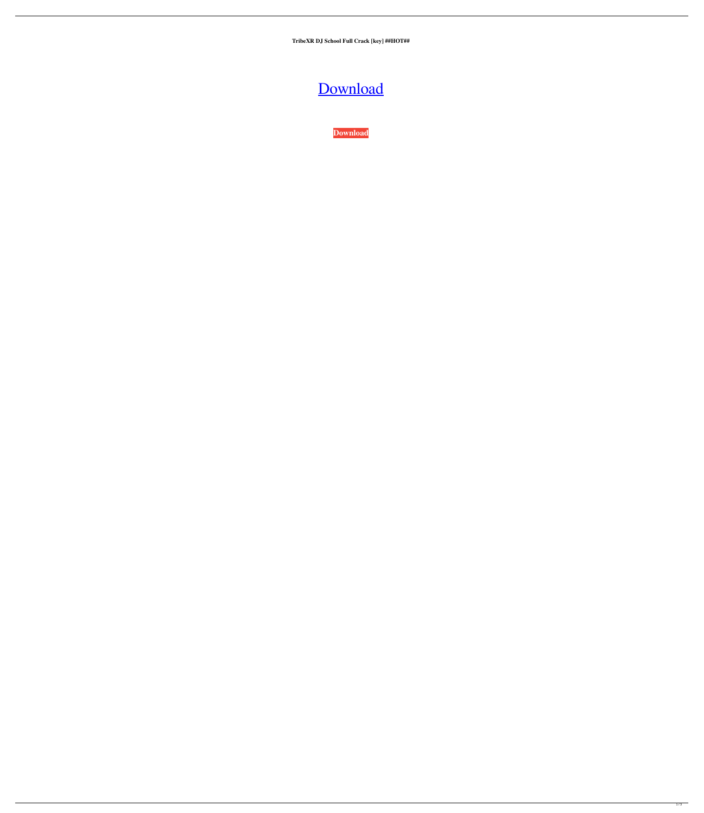**TribeXR DJ School Full Crack [key] ##HOT##**

[Download](https://tinurll.com/2m0ayl)

**[Download](https://tinurll.com/2m0ayl)**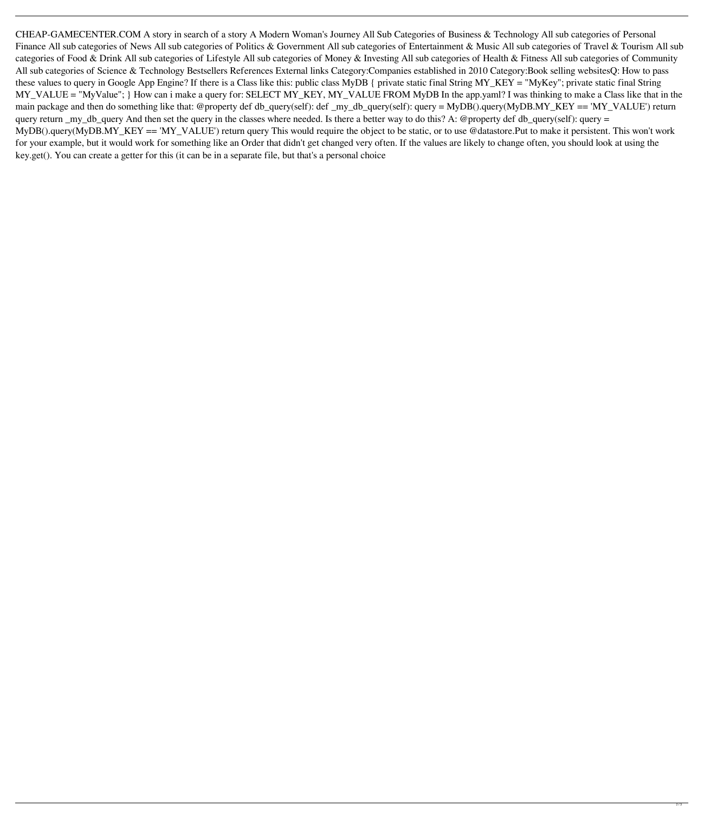CHEAP-GAMECENTER.COM A story in search of a story A Modern Woman's Journey All Sub Categories of Business & Technology All sub categories of Personal Finance All sub categories of News All sub categories of Politics & Government All sub categories of Intertainment & Music All sub categories of Travel & Tourism All sub categories of Food & Drink All sub categories of Lifestyle All sub categories of Money & Investing All sub categories of Health & Fitness All sub categories of Community All sub categories of Science & Technology Bestsellers References External links Category:Companies established in 2010 Category:Book selling websitesQ: How to pass these values to query in Google App Engine? If there is a Class like this: public class MyDB { private static final String MY\_KEY = "MyKey"; private static final String MY\_VALUE = "MyValue"; } How can i make a query for: SELECT MY\_KEY, MY\_VALUE FROM MyDB In the app.yaml? I was thinking to make a Class like that in the main package and then do something like that: @property def db\_query(self): def \_my\_db\_query(self): query = MyDB().query(MyDB.MY\_KEY == 'MY\_VALUE') return query return \_my\_db\_query And then set the query in the classes where needed. Is there a better way to do this? A: @property def db\_query(self): query = MyDB().query(MyDB.MY\_KEY == 'MY\_VALUE') return query This would require the object to be static, or to use @datastore.Put to make it persistent. This won't work for your example, but it would work for something like an Order that didn't get changed very often. If the values are likely to change often, you should look at using the key.get(). You can create a getter for this (it can be in a separate file, but that's a personal choice